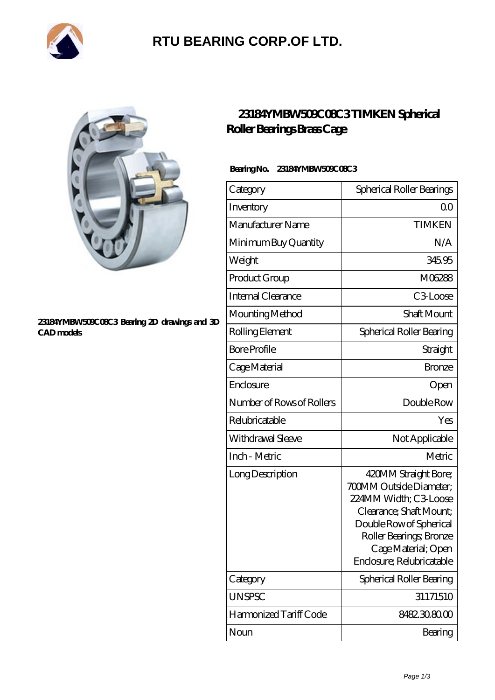

# **[RTU BEARING CORP.OF LTD.](https://arkcalledearth.org)**



#### **[23184YMBW509C08C3 Bearing 2D drawings and 3D](https://arkcalledearth.org/pic-630258.html) [CAD models](https://arkcalledearth.org/pic-630258.html)**

### **[23184YMBW509C08C3 TIMKEN Spherical](https://arkcalledearth.org/spherical-roller-bearings-brass-cage/23184ymbw509c08c3.html) [Roller Bearings Brass Cage](https://arkcalledearth.org/spherical-roller-bearings-brass-cage/23184ymbw509c08c3.html)**

### **Bearing No. 23184YMBW509C08C3**

| Category                  | Spherical Roller Bearings                                                                                                                                                                                            |
|---------------------------|----------------------------------------------------------------------------------------------------------------------------------------------------------------------------------------------------------------------|
| Inventory                 | 0 <sup>0</sup>                                                                                                                                                                                                       |
| Manufacturer Name         | <b>TIMKEN</b>                                                                                                                                                                                                        |
| Minimum Buy Quantity      | N/A                                                                                                                                                                                                                  |
| Weight                    | 345.95                                                                                                                                                                                                               |
| Product Group             | M06288                                                                                                                                                                                                               |
| Internal Clearance        | C3Loose                                                                                                                                                                                                              |
| Mounting Method           | Shaft Mount                                                                                                                                                                                                          |
| Rolling Element           | Spherical Roller Bearing                                                                                                                                                                                             |
| <b>Bore Profile</b>       | Straight                                                                                                                                                                                                             |
| Cage Material             | <b>Bronze</b>                                                                                                                                                                                                        |
| Enclosure                 | Open                                                                                                                                                                                                                 |
| Number of Rows of Rollers | Double Row                                                                                                                                                                                                           |
| Relubricatable            | Yes                                                                                                                                                                                                                  |
| Withdrawal Sleeve         | Not Applicable                                                                                                                                                                                                       |
| Inch - Metric             | Metric                                                                                                                                                                                                               |
| Long Description          | 420MM Straight Bore;<br><b>700MM Outside Diameter;</b><br>224MM Width; C3 Loose<br>Clearance; Shaft Mount;<br>Double Row of Spherical<br>Roller Bearings, Bronze<br>Cage Material; Open<br>Enclosure; Relubricatable |
| Category                  | Spherical Roller Bearing                                                                                                                                                                                             |
| <b>UNSPSC</b>             | 31171510                                                                                                                                                                                                             |
| Harmonized Tariff Code    | 8482.30.80.00                                                                                                                                                                                                        |
| Noun                      | Bearing                                                                                                                                                                                                              |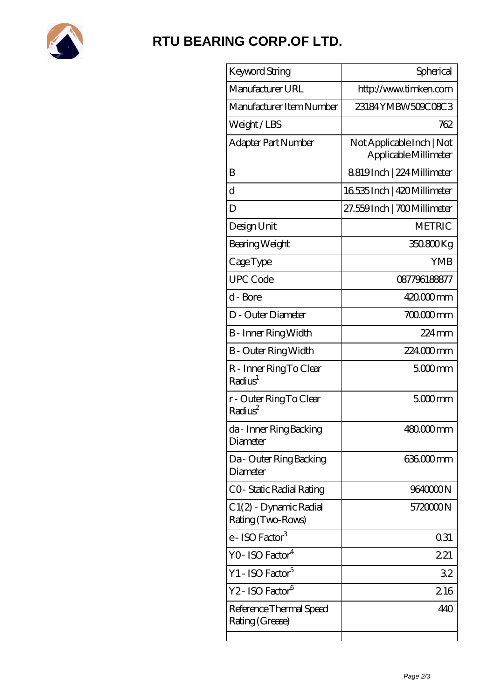

### **[RTU BEARING CORP.OF LTD.](https://arkcalledearth.org)**

| Keyword String                                 | Spherical                                          |
|------------------------------------------------|----------------------------------------------------|
| Manufacturer URL                               | http://www.timken.com                              |
| Manufacturer Item Number                       | 23184YMBW509C08C3                                  |
| Weight/LBS                                     | 762                                                |
| Adapter Part Number                            | Not Applicable Inch   Not<br>Applicable Millimeter |
| B                                              | 8819Inch   224 Millimeter                          |
| $\mathbf d$                                    | 16535 Inch   420 Millimeter                        |
| D                                              | 27.559Inch   700Millimeter                         |
| Design Unit                                    | <b>METRIC</b>                                      |
| Bearing Weight                                 | 350.800Kg                                          |
| CageType                                       | <b>YMB</b>                                         |
| <b>UPC Code</b>                                | 087796188877                                       |
| d - Bore                                       | 420.000mm                                          |
| D - Outer Diameter                             | 700.000mm                                          |
| B - Inner Ring Width                           | $224$ mm                                           |
| <b>B</b> - Outer Ring Width                    | 224000mm                                           |
| R - Inner Ring To Clear<br>Radius <sup>1</sup> | $5000$ mm                                          |
| r - Outer Ring To Clear<br>Radius <sup>2</sup> | $5000$ mm                                          |
| da - Inner Ring Backing<br>Diameter            | 480.000mm                                          |
| Da - Outer Ring Backing<br>Diameter            | 636.000mm                                          |
| CO-Static Radial Rating                        | 9640000N                                           |
| C1(2) - Dynamic Radial<br>Rating (Two-Rows)    | 572000N                                            |
| e - ISO Factor <sup>3</sup>                    | 0.31                                               |
| YO- ISO Factor <sup>4</sup>                    | 221                                                |
| Y1 - ISO Factor <sup>5</sup>                   | 32                                                 |
| Y2 - ISO Factor <sup>6</sup>                   | 216                                                |
| Reference Thermal Speed<br>Rating (Grease)     | 440                                                |
|                                                |                                                    |